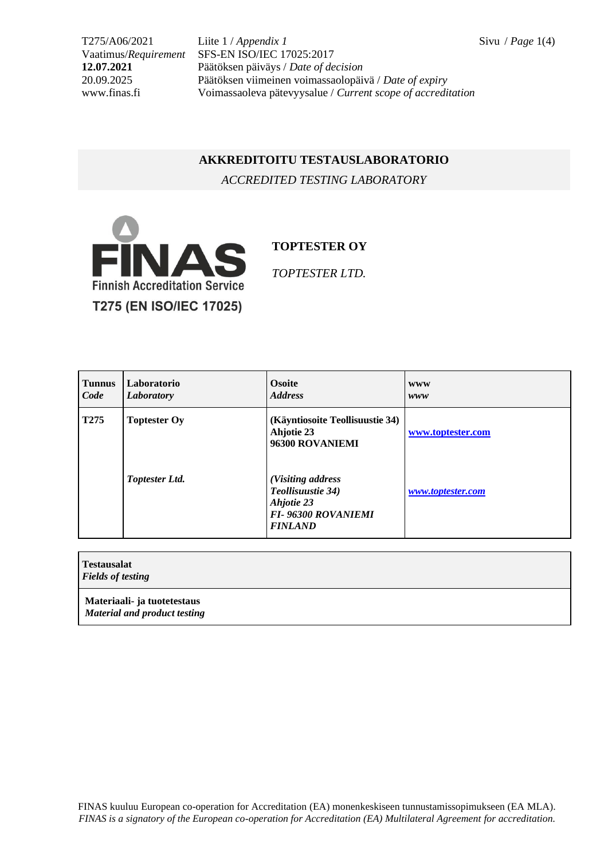T275/A06/2021 Liite 1 / *Appendix 1* Sivu / *Page* 1(4) Vaatimus/*Requirement* SFS-EN ISO/IEC 17025:2017 **12.07.2021** Päätöksen päiväys / *Date of decision* 20.09.2025 Päätöksen viimeinen voimassaolopäivä / *Date of expiry* Voimassaoleva pätevyysalue / *Current scope of accreditation* 

## **AKKREDITOITU TESTAUSLABORATORIO**

*ACCREDITED TESTING LABORATORY*



**TOPTESTER OY**

*TOPTESTER LTD.*

| <b>Tunnus</b><br>Code | Laboratorio<br>Laboratory | <b>Osoite</b><br><b>Address</b>                                                                     | <b>WWW</b><br>www |
|-----------------------|---------------------------|-----------------------------------------------------------------------------------------------------|-------------------|
| T <sub>275</sub>      | <b>Toptester Oy</b>       | (Käyntiosoite Teollisuustie 34)<br>Ahjotie 23<br>96300 ROVANIEMI                                    | www.toptester.com |
|                       | <b>Toptester Ltd.</b>     | (Visiting address<br>Teollisuustie 34)<br>Ahjotie 23<br><b>FI-96300 ROVANIEMI</b><br><b>FINLAND</b> | www.toptester.com |

| Testausalat<br><b>Fields of testing</b>                     |  |
|-------------------------------------------------------------|--|
| Materiaali- ja tuotetestaus<br>Material and product testing |  |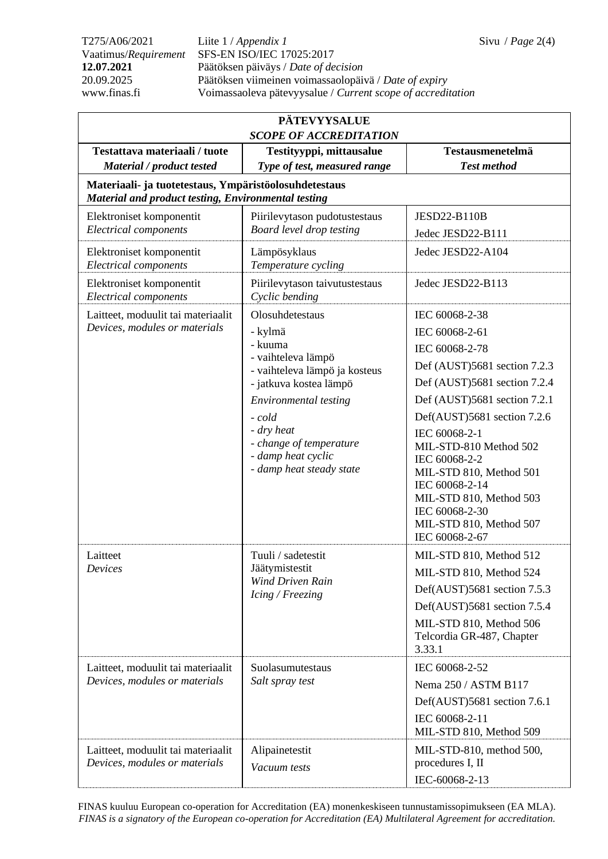T275/A06/2021 Liite 1 / *Appendix 1* Sivu / *Page* 2(4) Vaatimus/*Requirement* SFS-EN ISO/IEC 17025:2017 **12.07.2021** Päätöksen päiväys / *Date of decision* 20.09.2025 Päätöksen viimeinen voimassaolopäivä / *Date of expiry* Voimassaoleva pätevyysalue / *Current scope of accreditation* 

| <b>PÄTEVYYSALUE</b>                                                                                                   |                                                                                                                                                                                                                                                      |                                                                                                                                                                                                                                                                                                                                                                                      |  |  |  |  |
|-----------------------------------------------------------------------------------------------------------------------|------------------------------------------------------------------------------------------------------------------------------------------------------------------------------------------------------------------------------------------------------|--------------------------------------------------------------------------------------------------------------------------------------------------------------------------------------------------------------------------------------------------------------------------------------------------------------------------------------------------------------------------------------|--|--|--|--|
| <b>SCOPE OF ACCREDITATION</b><br>Testattava materiaali / tuote<br>Testityyppi, mittausalue<br><b>Testausmenetelmä</b> |                                                                                                                                                                                                                                                      |                                                                                                                                                                                                                                                                                                                                                                                      |  |  |  |  |
| Material / product tested                                                                                             | Type of test, measured range                                                                                                                                                                                                                         | <b>Test method</b>                                                                                                                                                                                                                                                                                                                                                                   |  |  |  |  |
| Materiaali- ja tuotetestaus, Ympäristöolosuhdetestaus<br><b>Material and product testing, Environmental testing</b>   |                                                                                                                                                                                                                                                      |                                                                                                                                                                                                                                                                                                                                                                                      |  |  |  |  |
| Elektroniset komponentit<br><b>Electrical components</b>                                                              | Piirilevytason pudotustestaus<br>Board level drop testing                                                                                                                                                                                            | <b>JESD22-B110B</b><br>Jedec JESD22-B111                                                                                                                                                                                                                                                                                                                                             |  |  |  |  |
| Elektroniset komponentit<br><b>Electrical components</b>                                                              | Lämpösyklaus<br>Temperature cycling                                                                                                                                                                                                                  | Jedec JESD22-A104                                                                                                                                                                                                                                                                                                                                                                    |  |  |  |  |
| Elektroniset komponentit<br><b>Electrical components</b>                                                              | Piirilevytason taivutustestaus<br>Cyclic bending                                                                                                                                                                                                     | Jedec JESD22-B113                                                                                                                                                                                                                                                                                                                                                                    |  |  |  |  |
| Laitteet, moduulit tai materiaalit<br>Devices, modules or materials                                                   | Olosuhdetestaus<br>- kylmä<br>- kuuma<br>- vaihteleva lämpö<br>- vaihteleva lämpö ja kosteus<br>- jatkuva kostea lämpö<br>Environmental testing<br>- cold<br>- dry heat<br>- change of temperature<br>- damp heat cyclic<br>- damp heat steady state | IEC 60068-2-38<br>IEC 60068-2-61<br>IEC 60068-2-78<br>Def (AUST)5681 section 7.2.3<br>Def (AUST)5681 section 7.2.4<br>Def (AUST)5681 section 7.2.1<br>Def(AUST)5681 section 7.2.6<br>IEC 60068-2-1<br>MIL-STD-810 Method 502<br>IEC 60068-2-2<br>MIL-STD 810, Method 501<br>IEC 60068-2-14<br>MIL-STD 810, Method 503<br>IEC 60068-2-30<br>MIL-STD 810, Method 507<br>IEC 60068-2-67 |  |  |  |  |
| Laitteet<br>Devices                                                                                                   | Tuuli / sadetestit<br>Jäätymistestit<br>Wind Driven Rain<br>Icing / Freezing                                                                                                                                                                         | MIL-STD 810, Method 512<br>MIL-STD 810, Method 524<br>Def(AUST)5681 section 7.5.3<br>Def(AUST)5681 section 7.5.4<br>MIL-STD 810, Method 506<br>Telcordia GR-487, Chapter<br>3.33.1                                                                                                                                                                                                   |  |  |  |  |
| Laitteet, moduulit tai materiaalit<br>Devices, modules or materials                                                   | Suolasumutestaus<br>Salt spray test                                                                                                                                                                                                                  | IEC 60068-2-52<br>Nema 250 / ASTM B117<br>Def(AUST)5681 section 7.6.1<br>IEC 60068-2-11<br>MIL-STD 810, Method 509                                                                                                                                                                                                                                                                   |  |  |  |  |
| Laitteet, moduulit tai materiaalit<br>Devices, modules or materials                                                   | Alipainetestit<br>Vacuum tests                                                                                                                                                                                                                       | MIL-STD-810, method 500,<br>procedures I, II<br>IEC-60068-2-13                                                                                                                                                                                                                                                                                                                       |  |  |  |  |

FINAS kuuluu European co-operation for Accreditation (EA) monenkeskiseen tunnustamissopimukseen (EA MLA). *FINAS is a signatory of the European co-operation for Accreditation (EA) Multilateral Agreement for accreditation.*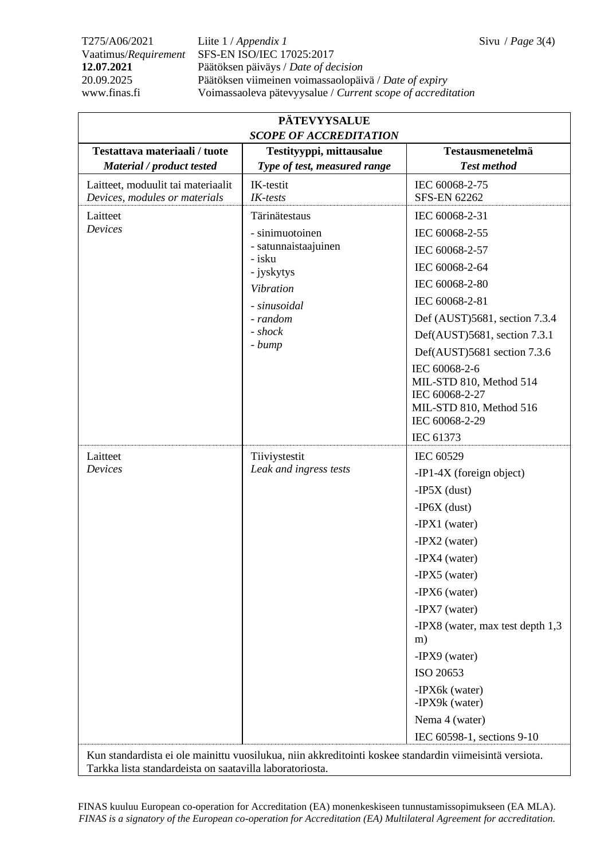T275/A06/2021 Liite 1 / *Appendix 1* Sivu / *Page* 3(4) Vaatimus/*Requirement* SFS-EN ISO/IEC 17025:2017 **12.07.2021** Päätöksen päiväys / *Date of decision* 20.09.2025 Päätöksen viimeinen voimassaolopäivä / *Date of expiry* www.finas.fi Voimassaoleva pätevyysalue / *Current scope of accreditation*

| Testattava materiaali / tuote      | Testityyppi, mittausalue                                                                                                                              | Testausmenetelmä                                                                                                                                                                                                                                                                                                                                 |
|------------------------------------|-------------------------------------------------------------------------------------------------------------------------------------------------------|--------------------------------------------------------------------------------------------------------------------------------------------------------------------------------------------------------------------------------------------------------------------------------------------------------------------------------------------------|
| Material / product tested          | Type of test, measured range                                                                                                                          | <b>Test method</b>                                                                                                                                                                                                                                                                                                                               |
| Laitteet, moduulit tai materiaalit | IK-testit                                                                                                                                             | IEC 60068-2-75                                                                                                                                                                                                                                                                                                                                   |
| Devices, modules or materials      | IK-tests                                                                                                                                              | <b>SFS-EN 62262</b>                                                                                                                                                                                                                                                                                                                              |
| Laitteet<br>Devices                | Tärinätestaus<br>- sinimuotoinen<br>- satunnaistaajuinen<br>- isku<br>- jyskytys<br><b>Vibration</b><br>- sinusoidal<br>- random<br>- shock<br>- bump | IEC 60068-2-31<br>IEC 60068-2-55<br>IEC 60068-2-57<br>IEC 60068-2-64<br>IEC 60068-2-80<br>IEC 60068-2-81<br>Def (AUST)5681, section 7.3.4<br>Def(AUST)5681, section 7.3.1<br>Def(AUST)5681 section 7.3.6<br>IEC 60068-2-6<br>MIL-STD 810, Method 514<br>IEC 60068-2-27<br>MIL-STD 810, Method 516<br>IEC 60068-2-29<br>IEC 61373                 |
| Laitteet<br>Devices                | Tiiviystestit<br>Leak and ingress tests                                                                                                               | IEC 60529<br>$-IP1-4X$ (foreign object)<br>$-IP5X$ (dust)<br>$-IP6X$ (dust)<br>-IPX1 (water)<br>$-IPX2$ (water)<br>-IPX4 (water)<br>-IPX5 (water)<br>-IPX6 (water)<br>-IPX7 (water)<br>-IPX8 (water, max test depth 1,3)<br>m)<br>-IPX9 (water)<br>ISO 20653<br>-IPX6k (water)<br>-IPX9k (water)<br>Nema 4 (water)<br>IEC 60598-1, sections 9-10 |

FINAS kuuluu European co-operation for Accreditation (EA) monenkeskiseen tunnustamissopimukseen (EA MLA). *FINAS is a signatory of the European co-operation for Accreditation (EA) Multilateral Agreement for accreditation.*